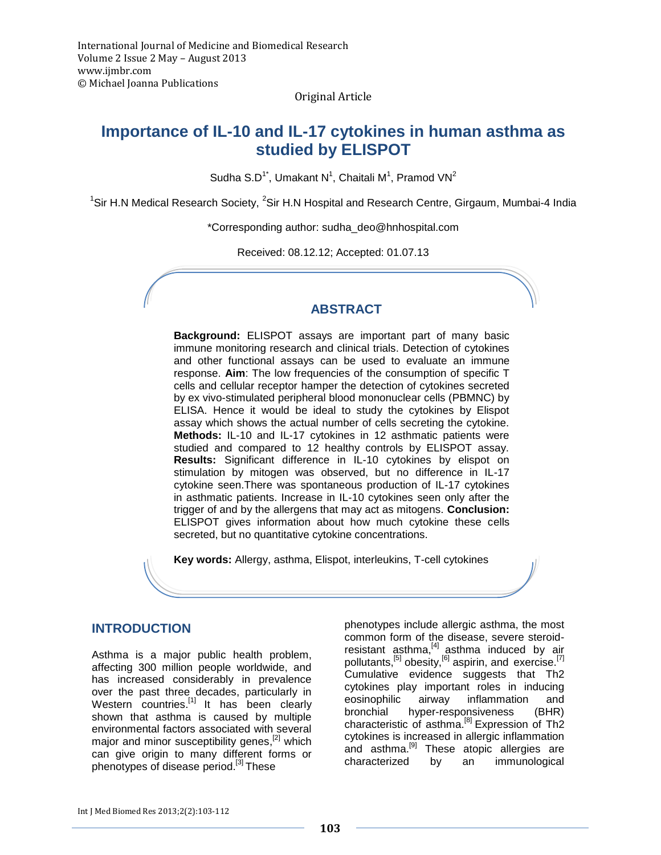Original Article

# **Importance of IL-10 and IL-17 cytokines in human asthma as studied by ELISPOT**

Sudha S.D<sup>1\*</sup>, Umakant N<sup>1</sup>, Chaitali M<sup>1</sup>, Pramod VN<sup>2</sup>

<sup>1</sup>Sir H.N Medical Research Society, <sup>2</sup>Sir H.N Hospital and Research Centre, Girgaum, Mumbai-4 India

\*Corresponding author: [sudha\\_deo@hnhospital.com](mailto:sudha_deo@hnhospital.com)

Received: 08.12.12; Accepted: 01.07.13

## **ABSTRACT**

**Background:** ELISPOT assays are important part of many basic immune monitoring research and clinical trials. Detection of cytokines and other functional assays can be used to evaluate an immune response. **Aim**: The low frequencies of the consumption of specific T cells and cellular receptor hamper the detection of cytokines secreted by ex vivo-stimulated peripheral blood mononuclear cells (PBMNC) by ELISA. Hence it would be ideal to study the cytokines by Elispot assay which shows the actual number of cells secreting the cytokine. **Methods:** IL-10 and IL-17 cytokines in 12 asthmatic patients were studied and compared to 12 healthy controls by ELISPOT assay. **Results:** Significant difference in IL-10 cytokines by elispot on stimulation by mitogen was observed, but no difference in IL-17 cytokine seen.There was spontaneous production of IL-17 cytokines in asthmatic patients. Increase in IL-10 cytokines seen only after the trigger of and by the allergens that may act as mitogens. **Conclusion:** ELISPOT gives information about how much cytokine these cells secreted, but no quantitative cytokine concentrations.

**Key words:** Allergy, asthma, Elispot, interleukins, T-cell cytokines

## **INTRODUCTION**

Asthma is a major public health problem, affecting 300 million people worldwide, and has increased considerably in prevalence over the past three decades, particularly in Western countries.<sup>[1]</sup> It has been clearly shown that asthma is caused by multiple environmental factors associated with several major and minor susceptibility genes,<sup>[2]</sup> which can give origin to many different forms or phenotypes of disease period.<sup>[3]</sup> These

phenotypes include allergic asthma, the most common form of the disease, severe steroidresistant asthma,<sup>[4]</sup> asthma induced by air pollutants,<sup>[5]</sup> obesity,<sup>[6]</sup> aspirin, and exercise.<sup>[7]</sup> Cumulative evidence suggests that Th2 cytokines play important roles in inducing eosinophilic airway inflammation and bronchial hyper-responsiveness (BHR) characteristic of asthma.<sup>[8]</sup> Expression of Th2 cytokines is increased in allergic inflammation and asthma.<sup>[9]</sup> These atopic allergies are characterized by an immunological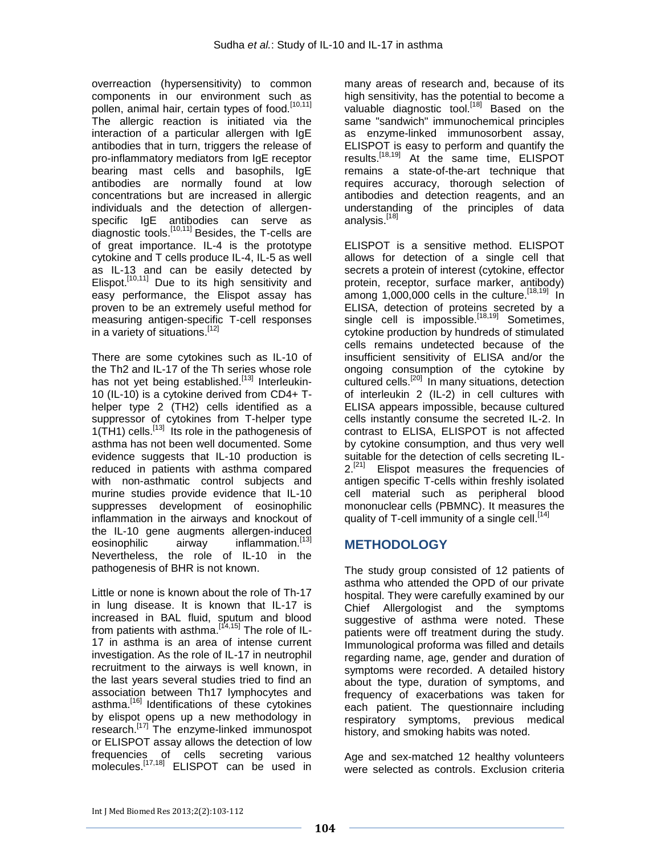overreaction (hypersensitivity) to common components in our environment such as pollen, animal hair, certain types of food.<sup>[10,11]</sup> The allergic reaction is initiated via the interaction of a particular allergen with IgE antibodies that in turn, triggers the release of pro-inflammatory mediators from IgE receptor bearing mast cells and basophils, IgE antibodies are normally found at low concentrations but are increased in allergic individuals and the detection of allergenspecific IgE antibodies can serve as diagnostic tools.<sup>[10,11]</sup> Besides, the T-cells are of great importance. IL-4 is the prototype cytokine and T cells produce IL-4, IL-5 as well as IL-13 and can be easily detected by Elispot.<sup>[10,11]</sup> Due to its high sensitivity and easy performance, the Elispot assay has proven to be an extremely useful method for measuring antigen-specific T-cell responses in a variety of situations.<sup>[12]</sup>

There are some cytokines such as IL-10 of the Th2 and IL-17 of the Th series whose role has not yet being established.<sup>[13]</sup> Interleukin-10 (IL-10) is a cytokine derived from CD4+ Thelper type 2 (TH2) cells identified as a suppressor of cytokines from T-helper type 1(TH1) cells.<sup>[13]</sup> Its role in the pathogenesis of asthma has not been well documented. Some evidence suggests that IL-10 production is reduced in patients with asthma compared with non-asthmatic control subjects and murine studies provide evidence that IL-10 suppresses development of eosinophilic inflammation in the airways and knockout of the IL-10 gene augments allergen-induced eosinophilic airway inflammation.<sup>[13]</sup> Nevertheless, the role of IL-10 in the pathogenesis of BHR is not known.

Little or none is known about the role of Th-17 in lung disease. It is known that IL-17 is increased in BAL fluid, sputum and blood from patients with asthma.<sup>[14,15]</sup> The role of IL-17 in asthma is an area of intense current investigation. As the role of IL-17 in neutrophil recruitment to the airways is well known, in the last years several studies tried to find an association between Th17 lymphocytes and asthma. [16] Identifications of these cytokines by elispot opens up a new methodology in research.<sup>[17]</sup> The enzyme-linked immunospot or ELISPOT assay allows the detection of low frequencies of cells secreting various molecules.<sup>[17,18]</sup> ELISPOT can be used in many areas of research and, because of its high sensitivity, has the potential to become a valuable diagnostic tool.[18] Based on the same "sandwich" immunochemical principles as enzyme-linked immunosorbent assay, ELISPOT is easy to perform and quantify the results.[18,19] At the same time, ELISPOT remains a state-of-the-art technique that requires accuracy, thorough selection of antibodies and detection reagents, and an understanding of the principles of data analysis.<sup>[18]</sup>

ELISPOT is a sensitive method. ELISPOT allows for detection of a single cell that secrets a protein of interest (cytokine, effector protein, receptor, surface marker, antibody) among 1,000,000 cells in the culture.<sup>[18,19]</sup> In ELISA, detection of proteins secreted by a single cell is impossible.<sup>[18,19]</sup> Sometimes, cytokine production by hundreds of stimulated cells remains undetected because of the insufficient sensitivity of ELISA and/or the ongoing consumption of the cytokine by cultured cells.[20] In many situations, detection of interleukin 2 (IL-2) in cell cultures with ELISA appears impossible, because cultured cells instantly consume the secreted IL-2. In contrast to ELISA, ELISPOT is not affected by cytokine consumption, and thus very well suitable for the detection of cells secreting IL- $2.^{[21]}$  Elispot measures the frequencies of antigen specific T-cells within freshly isolated cell material such as peripheral blood mononuclear cells (PBMNC). It measures the quality of T-cell immunity of a single cell.<sup>[14]</sup>

# **METHODOLOGY**

The study group consisted of 12 patients of asthma who attended the OPD of our private hospital. They were carefully examined by our Chief Allergologist and the symptoms suggestive of asthma were noted. These patients were off treatment during the study. Immunological proforma was filled and details regarding name, age, gender and duration of symptoms were recorded. A detailed history about the type, duration of symptoms, and frequency of exacerbations was taken for each patient. The questionnaire including respiratory symptoms, previous medical history, and smoking habits was noted.

Age and sex-matched 12 healthy volunteers were selected as controls. Exclusion criteria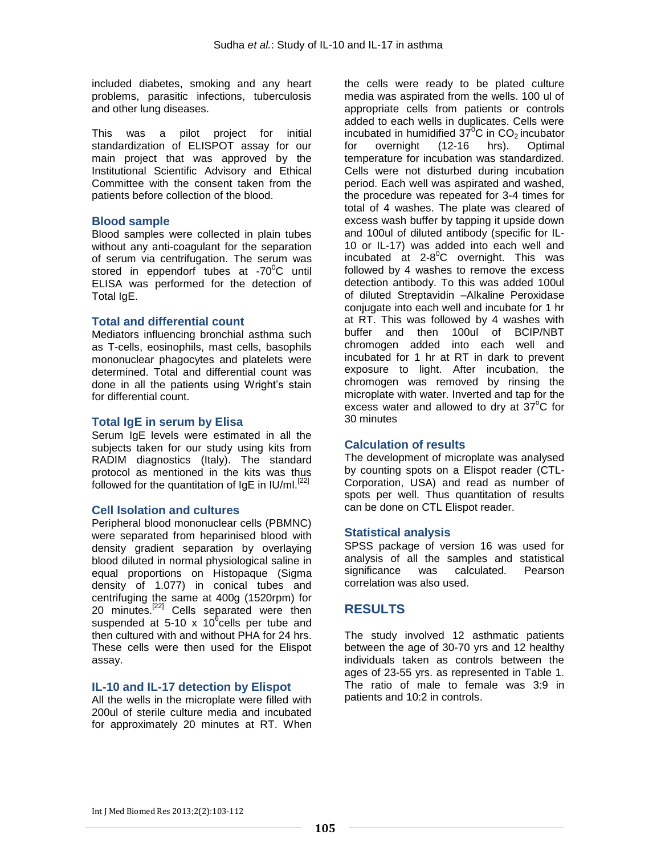included diabetes, smoking and any heart problems, parasitic infections, tuberculosis and other lung diseases.

This was a pilot project for initial standardization of ELISPOT assay for our main project that was approved by the Institutional Scientific Advisory and Ethical Committee with the consent taken from the patients before collection of the blood.

### **Blood sample**

Blood samples were collected in plain tubes without any anti-coagulant for the separation of serum via centrifugation. The serum was stored in eppendorf tubes at  $-70^{\circ}$ C until ELISA was performed for the detection of Total IgE.

### **Total and differential count**

Mediators influencing bronchial asthma such as T-cells, eosinophils, mast cells, basophils mononuclear phagocytes and platelets were determined. Total and differential count was done in all the patients using Wright's stain for differential count.

## **Total IgE in serum by Elisa**

Serum IgE levels were estimated in all the subjects taken for our study using kits from RADIM diagnostics (Italy). The standard protocol as mentioned in the kits was thus followed for the quantitation of  $lgE$  in  $IU/ml$ .<sup>[22]</sup>

#### **Cell Isolation and cultures**

Peripheral blood mononuclear cells (PBMNC) were separated from heparinised blood with density gradient separation by overlaying blood diluted in normal physiological saline in equal proportions on Histopaque (Sigma density of 1.077) in conical tubes and centrifuging the same at 400g (1520rpm) for 20 minutes.<sup>[22]</sup> Cells separated were then suspended at 5-10 x 10 $^6$ cells per tube and then cultured with and without PHA for 24 hrs. These cells were then used for the Elispot assay.

#### **IL-10 and IL-17 detection by Elispot**

All the wells in the microplate were filled with 200ul of sterile culture media and incubated for approximately 20 minutes at RT. When the cells were ready to be plated culture media was aspirated from the wells. 100 ul of appropriate cells from patients or controls added to each wells in duplicates. Cells were incubated in humidified  $37^0C$  in CO<sub>2</sub> incubator<br>for overnight (12-16 hrs). Optimal for overnight (12-16 hrs). Optimal temperature for incubation was standardized. Cells were not disturbed during incubation period. Each well was aspirated and washed, the procedure was repeated for 3-4 times for total of 4 washes. The plate was cleared of excess wash buffer by tapping it upside down and 100ul of diluted antibody (specific for IL-10 or IL-17) was added into each well and incubated at  $2-8$ <sup>o</sup>C overnight. This was followed by 4 washes to remove the excess detection antibody. To this was added 100ul of diluted Streptavidin –Alkaline Peroxidase conjugate into each well and incubate for 1 hr at RT. This was followed by 4 washes with buffer and then 100ul of BCIP/NBT chromogen added into each well and incubated for 1 hr at RT in dark to prevent exposure to light. After incubation, the chromogen was removed by rinsing the microplate with water. Inverted and tap for the excess water and allowed to dry at  $37^{\circ}$ C for 30 minutes

## **Calculation of results**

The development of microplate was analysed by counting spots on a Elispot reader (CTL-Corporation, USA) and read as number of spots per well. Thus quantitation of results can be done on CTL Elispot reader.

#### **Statistical analysis**

SPSS package of version 16 was used for analysis of all the samples and statistical significance was calculated. Pearson correlation was also used.

# **RESULTS**

The study involved 12 asthmatic patients between the age of 30-70 yrs and 12 healthy individuals taken as controls between the ages of 23-55 yrs. as represented in Table 1. The ratio of male to female was 3:9 in patients and 10:2 in controls.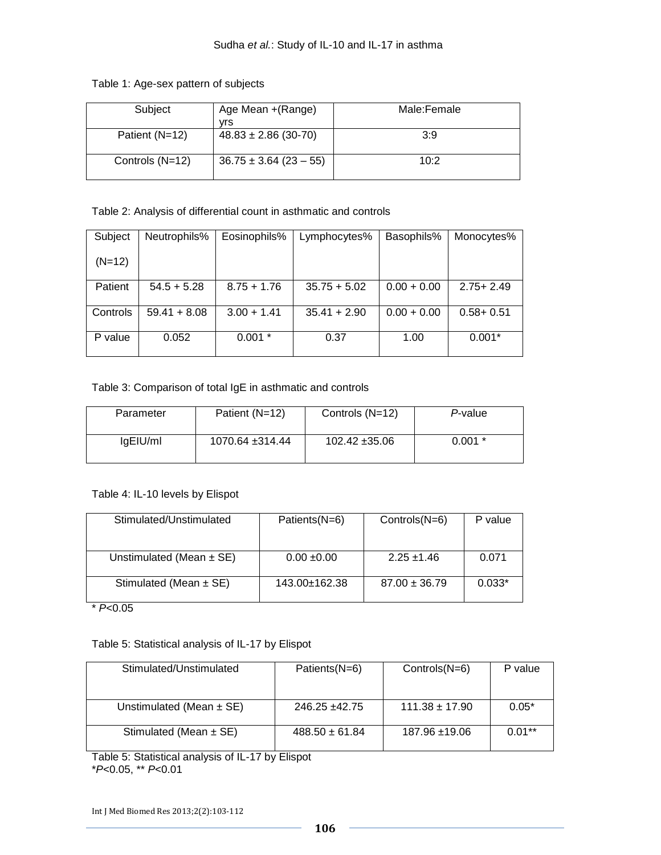|  | Table 1: Age-sex pattern of subjects |
|--|--------------------------------------|
|--|--------------------------------------|

| Subject         | Age Mean + (Range)         | Male:Female |
|-----------------|----------------------------|-------------|
|                 | vrs                        |             |
| Patient (N=12)  | $48.83 \pm 2.86$ (30-70)   | 3:9         |
| Controls (N=12) | $36.75 \pm 3.64$ (23 – 55) | 10:2        |

Table 2: Analysis of differential count in asthmatic and controls

| Subject  | Neutrophils%   | Eosinophils%  | Lymphocytes%   | Basophils%    | Monocytes%    |
|----------|----------------|---------------|----------------|---------------|---------------|
| $(N=12)$ |                |               |                |               |               |
| Patient  | $54.5 + 5.28$  | $8.75 + 1.76$ | $35.75 + 5.02$ | $0.00 + 0.00$ | $2.75 + 2.49$ |
| Controls | $59.41 + 8.08$ | $3.00 + 1.41$ | $35.41 + 2.90$ | $0.00 + 0.00$ | $0.58 + 0.51$ |
| P value  | 0.052          | $0.001*$      | 0.37           | 1.00          | $0.001*$      |

Table 3: Comparison of total IgE in asthmatic and controls

| Parameter            | Patient (N=12)  | Controls (N=12)    | P-value  |
|----------------------|-----------------|--------------------|----------|
| lgE <sub>U</sub> /ml | 1070.64 ±314.44 | $102.42 \pm 35.06$ | $0.001*$ |

Table 4: IL-10 levels by Elispot

| Stimulated/Unstimulated      | Patients(N=6)   | Controls(N=6)     | P value  |
|------------------------------|-----------------|-------------------|----------|
|                              |                 |                   |          |
| Unstimulated (Mean $\pm$ SE) | $0.00 \pm 0.00$ | $2.25 \pm 1.46$   | 0.071    |
| Stimulated (Mean $\pm$ SE)   | 143.00±162.38   | $87.00 \pm 36.79$ | $0.033*$ |

\* *P*<0.05

Table 5: Statistical analysis of IL-17 by Elispot

| Stimulated/Unstimulated      | Patients(N=6)      | Controls(N=6)      | P value  |
|------------------------------|--------------------|--------------------|----------|
| Unstimulated (Mean $\pm$ SE) | $246.25 + 42.75$   | $111.38 \pm 17.90$ | $0.05*$  |
| Stimulated (Mean $\pm$ SE)   | $488.50 \pm 61.84$ | $187.96 \pm 19.06$ | $0.01**$ |

Table 5: Statistical analysis of IL-17 by Elispot

\**P*<0.05, \*\* *P*<0.01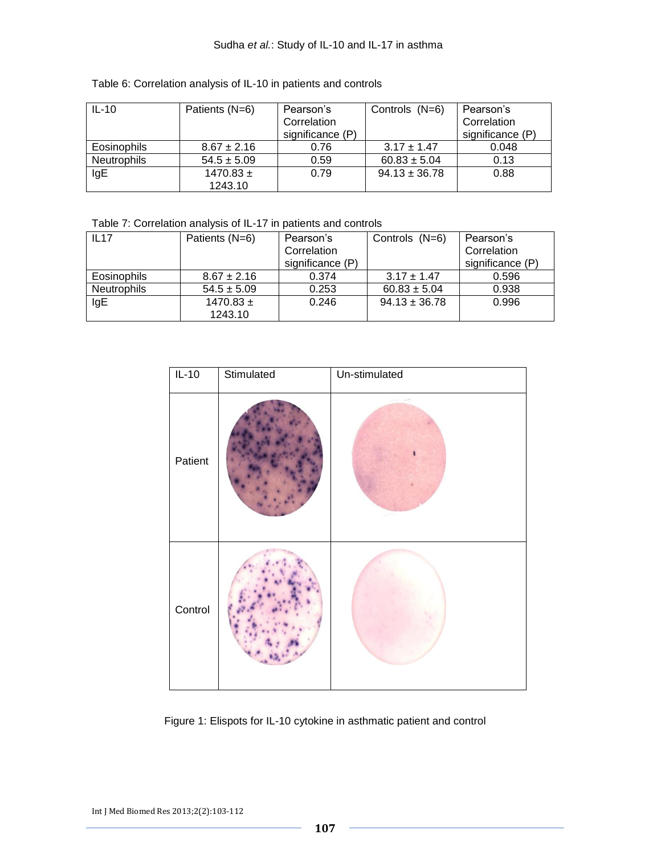| Table 6: Correlation analysis of IL-10 in patients and controls |  |  |
|-----------------------------------------------------------------|--|--|

| $IL-10$            | Patients (N=6)  | Pearson's        | Controls (N=6)    | Pearson's        |
|--------------------|-----------------|------------------|-------------------|------------------|
|                    |                 | Correlation      |                   | Correlation      |
|                    |                 | significance (P) |                   | significance (P) |
| <b>Eosinophils</b> | $8.67 \pm 2.16$ | 0.76             | $3.17 \pm 1.47$   | 0.048            |
| Neutrophils        | $54.5 \pm 5.09$ | 0.59             | $60.83 \pm 5.04$  | 0.13             |
| IgE                | $1470.83 \pm$   | 0.79             | $94.13 \pm 36.78$ | 0.88             |
|                    | 1243.10         |                  |                   |                  |

Table 7: Correlation analysis of IL-17 in patients and controls

| IL17               | Patients (N=6)  | Pearson's        | Controls (N=6)    | Pearson's        |
|--------------------|-----------------|------------------|-------------------|------------------|
|                    |                 | Correlation      |                   | Correlation      |
|                    |                 | significance (P) |                   | significance (P) |
| <b>Eosinophils</b> | $8.67 \pm 2.16$ | 0.374            | $3.17 \pm 1.47$   | 0.596            |
| Neutrophils        | $54.5 \pm 5.09$ | 0.253            | $60.83 \pm 5.04$  | 0.938            |
| IgE                | $1470.83 \pm$   | 0.246            | $94.13 \pm 36.78$ | 0.996            |
|                    | 1243.10         |                  |                   |                  |



Figure 1: Elispots for IL-10 cytokine in asthmatic patient and control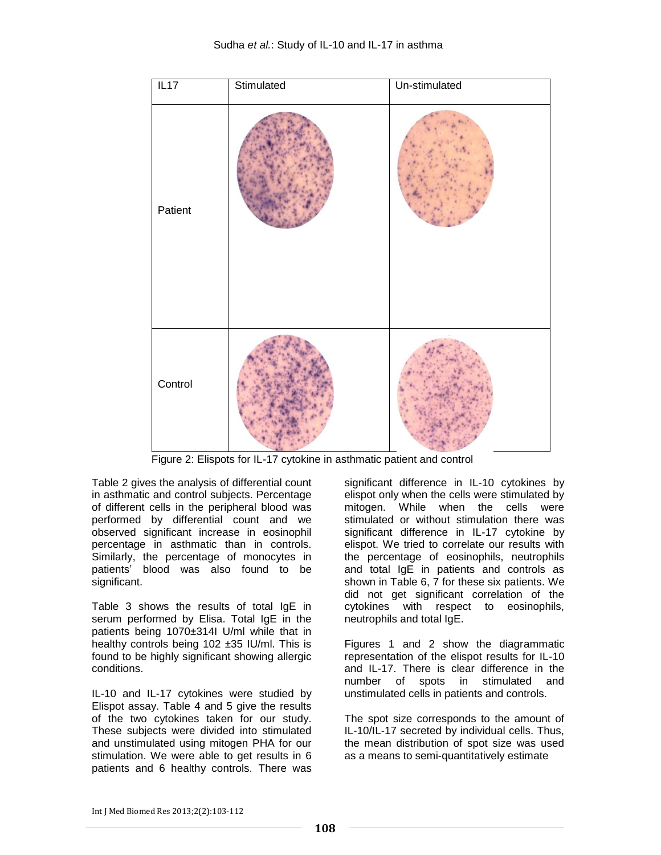

Figure 2: Elispots for IL-17 cytokine in asthmatic patient and control

Table 2 gives the analysis of differential count in asthmatic and control subjects. Percentage of different cells in the peripheral blood was performed by differential count and we observed significant increase in eosinophil percentage in asthmatic than in controls. Similarly, the percentage of monocytes in patients' blood was also found to be significant.

Table 3 shows the results of total IgE in serum performed by Elisa. Total IgE in the patients being 1070±314I U/ml while that in healthy controls being 102 ±35 IU/ml. This is found to be highly significant showing allergic conditions.

IL-10 and IL-17 cytokines were studied by Elispot assay. Table 4 and 5 give the results of the two cytokines taken for our study. These subjects were divided into stimulated and unstimulated using mitogen PHA for our stimulation. We were able to get results in 6 patients and 6 healthy controls. There was significant difference in IL-10 cytokines by elispot only when the cells were stimulated by mitogen. While when the cells were stimulated or without stimulation there was significant difference in IL-17 cytokine by elispot. We tried to correlate our results with the percentage of eosinophils, neutrophils and total IgE in patients and controls as shown in Table 6, 7 for these six patients. We did not get significant correlation of the cytokines with respect to eosinophils, neutrophils and total IgE.

Figures 1 and 2 show the diagrammatic representation of the elispot results for IL-10 and IL-17. There is clear difference in the number of spots in stimulated and unstimulated cells in patients and controls.

The spot size corresponds to the amount of IL-10/IL-17 secreted by individual cells. Thus, the mean distribution of spot size was used as a means to semi-quantitatively estimate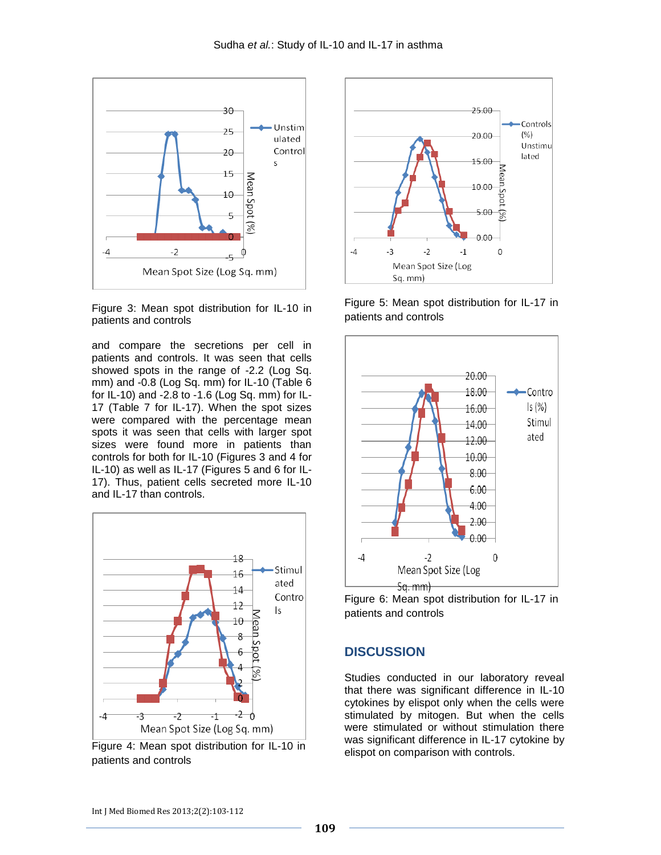

Figure 3: Mean spot distribution for IL-10 in patients and controls

and compare the secretions per cell in patients and controls. It was seen that cells showed spots in the range of -2.2 (Log Sq. mm) and -0.8 (Log Sq. mm) for IL-10 (Table 6 for IL-10) and -2.8 to -1.6 (Log Sq. mm) for IL-17 (Table 7 for IL-17). When the spot sizes were compared with the percentage mean spots it was seen that cells with larger spot sizes were found more in patients than controls for both for IL-10 (Figures 3 and 4 for IL-10) as well as IL-17 (Figures 5 and 6 for IL-17). Thus, patient cells secreted more IL-10 and IL-17 than controls.



Figure 4: Mean spot distribution for IL-10 in patients and controls



Figure 5: Mean spot distribution for IL-17 in patients and controls



Figure 6: Mean spot distribution for IL-17 in patients and controls

#### **DISCUSSION**

Studies conducted in our laboratory reveal that there was significant difference in IL-10 cytokines by elispot only when the cells were stimulated by mitogen. But when the cells were stimulated or without stimulation there was significant difference in IL-17 cytokine by elispot on comparison with controls.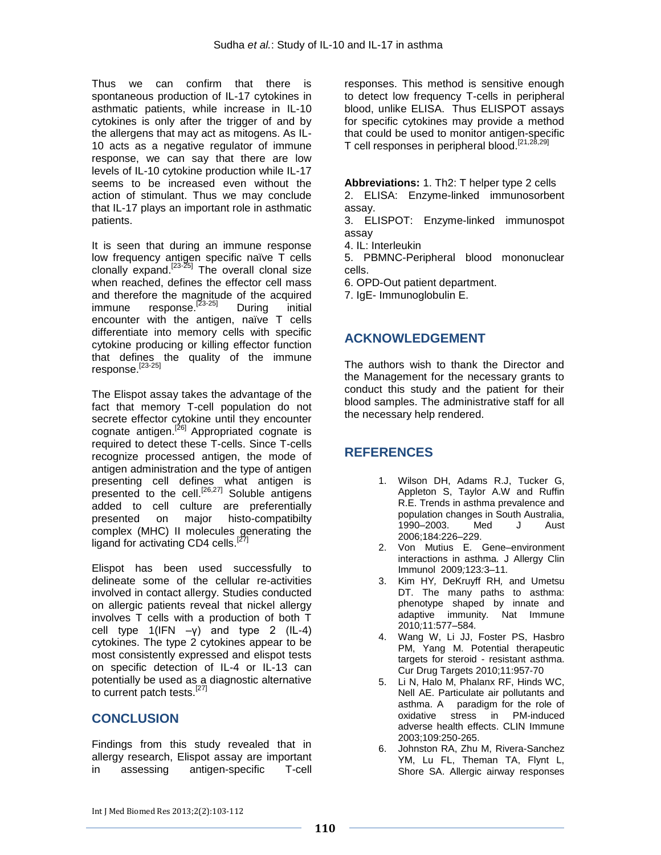Thus we can confirm that there is spontaneous production of IL-17 cytokines in asthmatic patients, while increase in IL-10 cytokines is only after the trigger of and by the allergens that may act as mitogens. As IL-10 acts as a negative regulator of immune response, we can say that there are low levels of IL-10 cytokine production while IL-17 seems to be increased even without the action of stimulant. Thus we may conclude that IL-17 plays an important role in asthmatic patients.

It is seen that during an immune response low frequency antigen specific naïve T cells clonally expand.<sup>[23-25]</sup> The overall clonal size when reached, defines the effector cell mass and therefore the magnitude of the acquired<br>immune  $\frac{[23\cdot25]}{2}$  During initial  $immune$  response.<sup>[23-25]</sup> encounter with the antigen, naïve T cells differentiate into memory cells with specific cytokine producing or killing effector function that defines the quality of the immune response.<sup>[23-25]</sup>

The Elispot assay takes the advantage of the fact that memory T-cell population do not secrete effector cytokine until they encounter cognate antigen.<sup>[26]</sup> Appropriated cognate is required to detect these T-cells. Since T-cells recognize processed antigen, the mode of antigen administration and the type of antigen presenting cell defines what antigen is presented to the cell.<sup>[26,27]</sup> Soluble antigens added to cell culture are preferentially presented on major histo-compatibilty complex (MHC) II molecules generating the ligand for activating CD4 cells.<sup>[27]</sup>

Elispot has been used successfully to delineate some of the cellular re-activities involved in contact allergy. Studies conducted on allergic patients reveal that nickel allergy involves T cells with a production of both T cell type  $1(IFN -y)$  and type 2  $(IL-4)$ cytokines. The type 2 cytokines appear to be most consistently expressed and elispot tests on specific detection of IL-4 or IL-13 can potentially be used as a diagnostic alternative to current patch tests.<sup>[27]</sup>

# **CONCLUSION**

Findings from this study revealed that in allergy research, Elispot assay are important in assessing antigen-specific T-cell

responses. This method is sensitive enough to detect low frequency T-cells in peripheral blood, unlike ELISA. Thus ELISPOT assays for specific cytokines may provide a method that could be used to monitor antigen-specific T cell responses in peripheral blood.[21,28,29]

**Abbreviations:** 1. Th2: T helper type 2 cells

2. ELISA: Enzyme-linked immunosorbent assay.

3. ELISPOT: Enzyme-linked immunospot assay

4. IL: Interleukin

5. PBMNC-Peripheral blood mononuclear cells.

6. OPD-Out patient department.

7. IgE- Immunoglobulin E.

# **ACKNOWLEDGEMENT**

The authors wish to thank the Director and the Management for the necessary grants to conduct this study and the patient for their blood samples. The administrative staff for all the necessary help rendered.

# **REFERENCES**

- 1. Wilson DH, Adams R.J, Tucker G, Appleton S, Taylor A.W and Ruffin R.E. Trends in asthma prevalence and population changes in South Australia, 1990–2003. Med J Aust 2006;184:226–229.
- 2. Von Mutius E*.* Gene–environment interactions in asthma*.* J Allergy Clin Immunol2009*;*123*:*3*–*11*.*
- 3. Kim HY*,* DeKruyff RH*,* and Umetsu DT. The many paths to asthma: phenotype shaped by innate and adaptive immunity*.* Nat Immune 2010*;*11:577*–*584*.*
- 4. Wang W, Li JJ, Foster PS, Hasbro PM, Yang M. Potential therapeutic targets for steroid - resistant asthma. Cur Drug Targets 2010;11:957-70
- 5. Li N, Halo M, Phalanx RF, Hinds WC, Nell AE. Particulate air pollutants and asthma. A paradigm for the role of oxidative stress in PM-induced adverse health effects. CLIN Immune 2003;109:250-265.
- 6. Johnston RA, Zhu M, Rivera-Sanchez YM, Lu FL, Theman TA, Flynt L, Shore SA. Allergic airway responses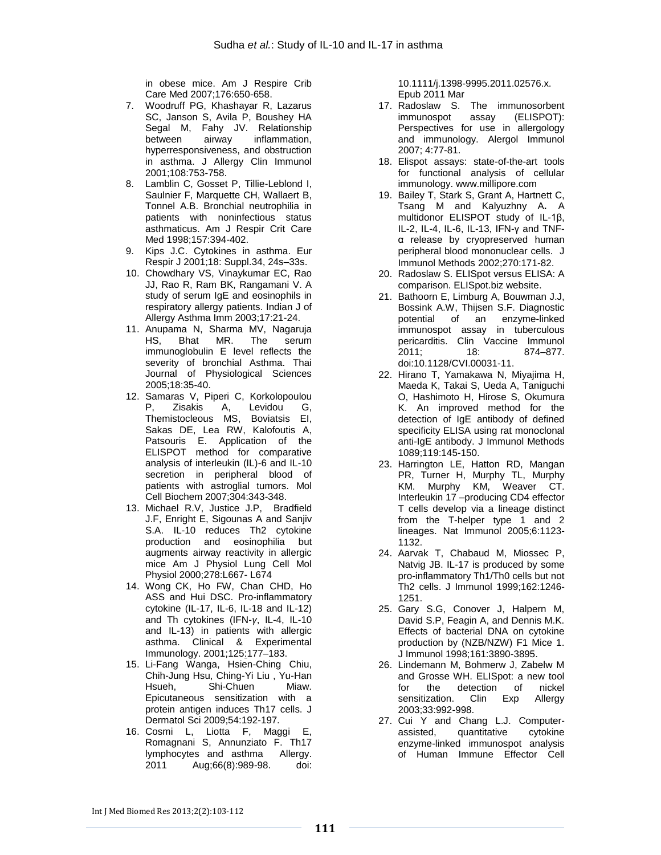in obese mice. Am J Respire Crib Care Med 2007;176:650-658.

- 7. Woodruff PG, Khashayar R, Lazarus SC, Janson S, Avila P, Boushey HA [Segal M,](http://www.ncbi.nlm.nih.gov/pubmed?term=Segal%20M%5BAuthor%5D&cauthor=true&cauthor_uid=11692100) [Fahy JV.](http://www.ncbi.nlm.nih.gov/pubmed?term=Fahy%20JV%5BAuthor%5D&cauthor=true&cauthor_uid=11692100) Relationship between airway inflammation, hyperresponsiveness, and obstruction in asthma. J Allergy Clin Immunol 2001;108:753-758.
- 8. Lamblin C, Gosset P, Tillie-Leblond I, Saulnier F, Marquette CH, Wallaert B, Tonnel A.B. Bronchial neutrophilia in patients with noninfectious status asthmaticus. Am J Respir Crit Care Med 1998;157:394-402.
- 9. Kips J.C. Cytokines in asthma. Eur Respir J 2001;18: Suppl.34, 24s–33s.
- 10. Chowdhary VS, Vinaykumar EC, Rao JJ, Rao R, Ram BK, Rangamani V. A study of serum IgE and eosinophils in respiratory allergy patients. Indian J of Allergy Asthma Imm 2003;17:21-24.
- 11. Anupama N, Sharma MV, Nagaruja HS, Bhat MR. The serum immunoglobulin E level reflects the severity of bronchial Asthma. Thai Journal of Physiological Sciences 2005;18:35-40.
- 12. [Samaras V,](http://www.ncbi.nlm.nih.gov/pubmed?term=%22Samaras%20V%22%5BAuthor%5D) [Piperi C,](http://www.ncbi.nlm.nih.gov/pubmed?term=%22Piperi%20C%22%5BAuthor%5D) [Korkolopoulou](http://www.ncbi.nlm.nih.gov/pubmed?term=%22Korkolopoulou%20P%22%5BAuthor%5D)  [P,](http://www.ncbi.nlm.nih.gov/pubmed?term=%22Korkolopoulou%20P%22%5BAuthor%5D) [Zisakis A,](http://www.ncbi.nlm.nih.gov/pubmed?term=%22Zisakis%20A%22%5BAuthor%5D) [Levidou G,](http://www.ncbi.nlm.nih.gov/pubmed?term=%22Levidou%20G%22%5BAuthor%5D)  [Themistocleous MS,](http://www.ncbi.nlm.nih.gov/pubmed?term=%22Themistocleous%20MS%22%5BAuthor%5D) [Boviatsis EI,](http://www.ncbi.nlm.nih.gov/pubmed?term=%22Boviatsis%20EI%22%5BAuthor%5D)  [Sakas DE,](http://www.ncbi.nlm.nih.gov/pubmed?term=%22Sakas%20DE%22%5BAuthor%5D) [Lea RW,](http://www.ncbi.nlm.nih.gov/pubmed?term=%22Lea%20RW%22%5BAuthor%5D) [Kalofoutis A,](http://www.ncbi.nlm.nih.gov/pubmed?term=%22Kalofoutis%20A%22%5BAuthor%5D)  [Patsouris E.](http://www.ncbi.nlm.nih.gov/pubmed?term=%22Patsouris%20E%22%5BAuthor%5D) Application of the ELISPOT method for comparative analysis of interleukin (IL)-6 and IL-10 secretion in peripheral blood of patients with astroglial tumors. Mol Cell Biochem 2007;304:343-348.
- 13. Michael R.V, Justice J.P, Bradfield J.F, Enright E, Sigounas A and Sanjiv S.A. IL-10 reduces Th2 cytokine production and eosinophilia but augments airway reactivity in allergic mice Am J Physiol Lung Cell Mol Physiol 2000;278:L667- L674
- 14. Wong CK, Ho FW, Chan CHD, Ho ASS and Hui DSC. Pro-inflammatory cytokine (IL-17, IL-6, IL-18 and IL-12) and Th cytokines (IFN-*γ*, IL-4, IL-10 and IL-13) in patients with allergic asthma. Clinical & Experimental Immunology. 2001[;125:](http://onlinelibrary.wiley.com/doi/10.1111/cei.2001.125.issue-2/issuetoc)177–183.
- 15. Li-Fang Wanga, Hsien-Ching Chiu, Chih-Jung Hsu, Ching-Yi Liu , Yu-Han Hsueh, Shi-Chuen Miaw. Epicutaneous sensitization with a protein antigen induces Th17 cells. J Dermatol Sci 2009;54:192-197.
- 16. Cosmi L, Liotta F, Maggi E, Romagnani S, Annunziato F. Th17 lymphocytes and asthma Allergy. 2011 Aug;66(8):989-98. doi:

10.1111/j.1398-9995.2011.02576.x. Epub 2011 Mar

- 17. Radoslaw S. The immunosorbent immunospot assay (ELISPOT): Perspectives for use in allergology and immunology. Alergol Immunol 2007; 4:77-81.
- 18. Elispot assays: state-of-the-art tools for functional analysis of cellular immunology. [www.millipore.com](http://www.millipore.com/)
- 19. Bailey T, Stark S, Grant A, Hartnett C, Tsang M and Kalyuzhny A**.** A multidonor ELISPOT study of IL-1β, IL-2, IL-4, IL-6, IL-13, IFN-γ and TNFα release by cryopreserved human peripheral blood mononuclear cells. J Immunol Methods 2002;270:171-82.
- 20. Radoslaw S. ELISpot versus ELISA: A comparison. [ELISpot.biz](http://www.elispot.biz/index.htm) website.
- 21. Bathoorn E, Limburg A, Bouwman J.J, Bossink A.W, Thijsen S.F. [Diagnostic](http://www.ncbi.nlm.nih.gov/pmc/articles/PMC3122525/) potential [of an enzyme-linked](http://www.ncbi.nlm.nih.gov/pmc/articles/PMC3122525/)  [immunospot assay](http://www.ncbi.nlm.nih.gov/pmc/articles/PMC3122525/) in tuberculous [pericarditis.](http://www.ncbi.nlm.nih.gov/pmc/articles/PMC3122525/) Clin Vaccine Immunol 2011; 18: 874–877. doi:10.1128/CVI.00031-11.
- 22. Hirano T, Yamakawa N, Miyajima H, [Maeda K,](http://www.ncbi.nlm.nih.gov/pubmed?term=Maeda%20K%5BAuthor%5D&cauthor=true&cauthor_uid=2785143) [Takai S,](http://www.ncbi.nlm.nih.gov/pubmed?term=Takai%20S%5BAuthor%5D&cauthor=true&cauthor_uid=2785143) [Ueda A,](http://www.ncbi.nlm.nih.gov/pubmed?term=Ueda%20A%5BAuthor%5D&cauthor=true&cauthor_uid=2785143) [Taniguchi](http://www.ncbi.nlm.nih.gov/pubmed?term=Taniguchi%20O%5BAuthor%5D&cauthor=true&cauthor_uid=2785143)  [O,](http://www.ncbi.nlm.nih.gov/pubmed?term=Taniguchi%20O%5BAuthor%5D&cauthor=true&cauthor_uid=2785143) [Hashimoto H,](http://www.ncbi.nlm.nih.gov/pubmed?term=Hashimoto%20H%5BAuthor%5D&cauthor=true&cauthor_uid=2785143) [Hirose S,](http://www.ncbi.nlm.nih.gov/pubmed?term=Hirose%20S%5BAuthor%5D&cauthor=true&cauthor_uid=2785143) [Okumura](http://www.ncbi.nlm.nih.gov/pubmed?term=Okumura%20K%5BAuthor%5D&cauthor=true&cauthor_uid=2785143)  [K.](http://www.ncbi.nlm.nih.gov/pubmed?term=Okumura%20K%5BAuthor%5D&cauthor=true&cauthor_uid=2785143) An improved method for the detection of IgE antibody of defined specificity ELISA using rat monoclonal anti-IgE antibody. J Immunol Methods 1089;119:145-150.
- 23. Harrington LE, Hatton RD, Mangan PR, Turner H, Murphy TL, Murphy KM. Murphy KM, Weaver CT. Interleukin 17 –producing CD4 effector T cells develop via a lineage distinct from the T-helper type 1 and 2 lineages. Nat Immunol 2005;6:1123- 1132.
- 24. Aarvak T, Chabaud M, Miossec P, Natvig JB. IL-17 is produced by some pro-inflammatory Th1/Th0 cells but not Th2 cells. J Immunol 1999;162:1246- 1251.
- 25. Gary S.G, Conover J, Halpern M, David S.P, Feagin A, and Dennis M.K. Effects of bacterial DNA on cytokine production by (NZB/NZW) F1 Mice 1. J Immunol 1998;161:3890-3895.
- 26. Lindemann M, Bohmerw J, Zabelw M and Grosse WH. ELISpot: a new tool for the detection of nickel sensitization. Clin Exp Allergy 2003;33:992-998.
- 27. Cui Y and Chang L.J. Computerassisted, quantitative cytokine enzyme-linked immunospot analysis of Human Immune Effector Cell